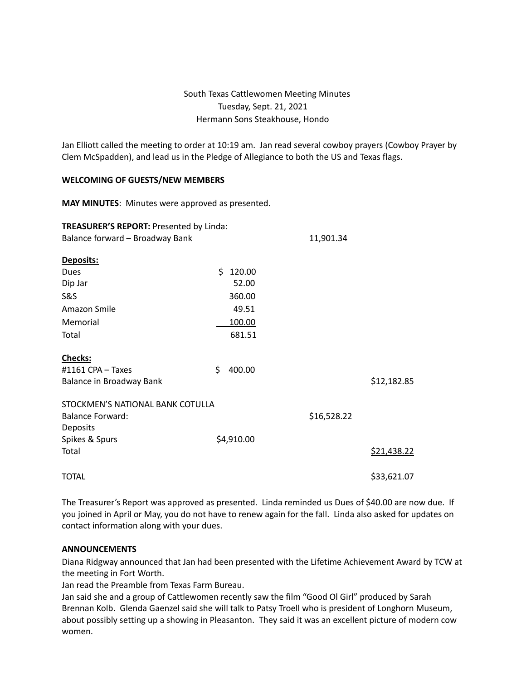# South Texas Cattlewomen Meeting Minutes Tuesday, Sept. 21, 2021 Hermann Sons Steakhouse, Hondo

Jan Elliott called the meeting to order at 10:19 am. Jan read several cowboy prayers (Cowboy Prayer by Clem McSpadden), and lead us in the Pledge of Allegiance to both the US and Texas flags.

#### **WELCOMING OF GUESTS/NEW MEMBERS**

**MAY MINUTES**: Minutes were approved as presented.

| <b>TREASURER'S REPORT: Presented by Linda:</b> |              |             |             |
|------------------------------------------------|--------------|-------------|-------------|
| Balance forward - Broadway Bank                |              | 11,901.34   |             |
| Deposits:                                      |              |             |             |
| <b>Dues</b>                                    | Ś.<br>120.00 |             |             |
| Dip Jar                                        | 52.00        |             |             |
| S&S                                            | 360.00       |             |             |
| Amazon Smile                                   | 49.51        |             |             |
| Memorial                                       | 100.00       |             |             |
| Total                                          | 681.51       |             |             |
| <b>Checks:</b>                                 |              |             |             |
| #1161 CPA $-$ Taxes                            | \$<br>400.00 |             |             |
| Balance in Broadway Bank                       |              |             | \$12,182.85 |
| STOCKMEN'S NATIONAL BANK COTULLA               |              |             |             |
| <b>Balance Forward:</b>                        |              | \$16,528.22 |             |
| Deposits                                       |              |             |             |
| Spikes & Spurs                                 | \$4,910.00   |             |             |
| Total                                          |              |             | \$21,438.22 |
| <b>TOTAL</b>                                   |              |             | \$33,621.07 |

The Treasurer's Report was approved as presented. Linda reminded us Dues of \$40.00 are now due. If you joined in April or May, you do not have to renew again for the fall. Linda also asked for updates on contact information along with your dues.

#### **ANNOUNCEMENTS**

Diana Ridgway announced that Jan had been presented with the Lifetime Achievement Award by TCW at the meeting in Fort Worth.

Jan read the Preamble from Texas Farm Bureau.

Jan said she and a group of Cattlewomen recently saw the film "Good Ol Girl" produced by Sarah Brennan Kolb. Glenda Gaenzel said she will talk to Patsy Troell who is president of Longhorn Museum, about possibly setting up a showing in Pleasanton. They said it was an excellent picture of modern cow women.